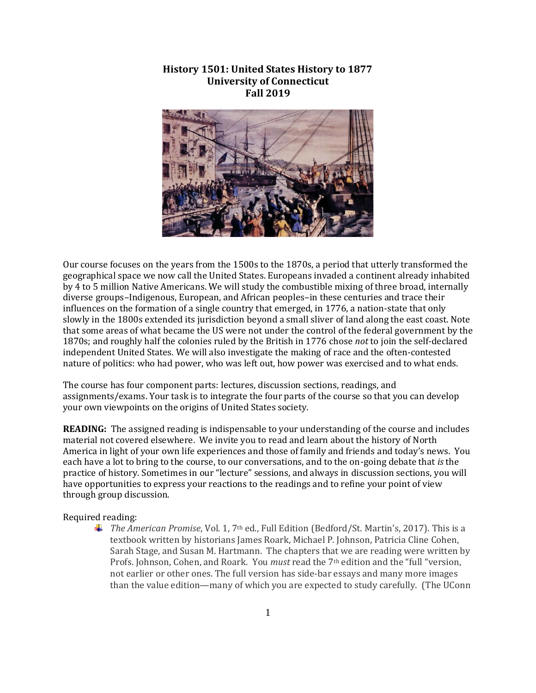# **History 1501: United States History to 1877 University of Connecticut Fall 2019**



Our course focuses on the years from the 1500s to the 1870s, a period that utterly transformed the geographical space we now call the United States. Europeans invaded a continent already inhabited by 4 to 5 million Native Americans. We will study the combustible mixing of three broad, internally diverse groups–Indigenous, European, and African peoples–in these centuries and trace their influences on the formation of a single country that emerged, in 1776, a nation-state that only slowly in the 1800s extended its jurisdiction beyond a small sliver of land along the east coast. Note that some areas of what became the US were not under the control of the federal government by the 1870s; and roughly half the colonies ruled by the British in 1776 chose *not* to join the self-declared independent United States. We will also investigate the making of race and the often-contested nature of politics: who had power, who was left out, how power was exercised and to what ends.

The course has four component parts: lectures, discussion sections, readings, and assignments/exams. Your task is to integrate the four parts of the course so that you can develop your own viewpoints on the origins of United States society.

**READING:** The assigned reading is indispensable to your understanding of the course and includes material not covered elsewhere. We invite you to read and learn about the history of North America in light of your own life experiences and those of family and friends and today's news. You each have a lot to bring to the course, to our conversations, and to the on-going debate that *is* the practice of history. Sometimes in our "lecture" sessions, and always in discussion sections, you will have opportunities to express your reactions to the readings and to refine your point of view through group discussion.

#### Required reading:

*The American Promise*, Vol. 1, 7th ed., Full Edition (Bedford/St. Martin's, 2017). This is a textbook written by historians James Roark, Michael P. Johnson, Patricia Cline Cohen, Sarah Stage, and Susan M. Hartmann. The chapters that we are reading were written by Profs. Johnson, Cohen, and Roark. You *must* read the 7th edition and the "full "version, not earlier or other ones. The full version has side-bar essays and many more images than the value edition—many of which you are expected to study carefully. (The UConn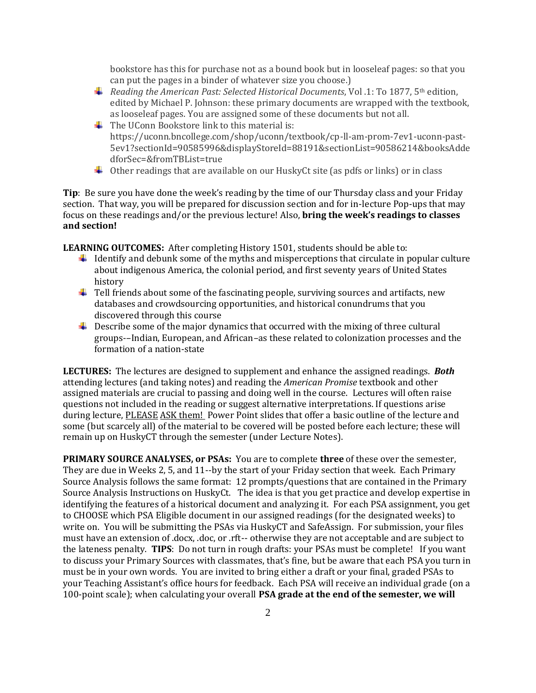bookstore has this for purchase not as a bound book but in looseleaf pages: so that you can put the pages in a binder of whatever size you choose.)

- *Reading the American Past: Selected Historical Documents*, Vol .1: To 1877, 5th edition, edited by Michael P. Johnson: these primary documents are wrapped with the textbook, as looseleaf pages. You are assigned some of these documents but not all.
- $\overline{\text{I}}$  The UConn Bookstore link to this material is: https://uconn.bncollege.com/shop/uconn/textbook/cp-ll-am-prom-7ev1-uconn-past-5ev1?sectionId=90585996&displayStoreId=88191&sectionList=90586214&booksAdde dforSec=&fromTBList=true
- $\downarrow$  Other readings that are available on our HuskyCt site (as pdfs or links) or in class

**Tip**: Be sure you have done the week's reading by the time of our Thursday class and your Friday section. That way, you will be prepared for discussion section and for in-lecture Pop-ups that may focus on these readings and/or the previous lecture! Also, **bring the week's readings to classes and section!**

**LEARNING OUTCOMES:** After completing History 1501, students should be able to:

- If Identify and debunk some of the myths and misperceptions that circulate in popular culture about indigenous America, the colonial period, and first seventy years of United States history
- $\ddot{\phantom{1}}$  Tell friends about some of the fascinating people, surviving sources and artifacts, new databases and crowdsourcing opportunities, and historical conundrums that you discovered through this course
- $\ddot{\phantom{1}}$  Describe some of the major dynamics that occurred with the mixing of three cultural groups-–Indian, European, and African–as these related to colonization processes and the formation of a nation-state

**LECTURES:** The lectures are designed to supplement and enhance the assigned readings. *Both* attending lectures (and taking notes) and reading the *American Promise* textbook and other assigned materials are crucial to passing and doing well in the course. Lectures will often raise questions not included in the reading or suggest alternative interpretations. If questions arise during lecture, PLEASE ASK them! Power Point slides that offer a basic outline of the lecture and some (but scarcely all) of the material to be covered will be posted before each lecture; these will remain up on HuskyCT through the semester (under Lecture Notes).

**PRIMARY SOURCE ANALYSES, or PSAs:** You are to complete **three** of these over the semester, They are due in Weeks 2, 5, and 11--by the start of your Friday section that week.Each Primary Source Analysis follows the same format: 12 prompts/questions that are contained in the Primary Source Analysis Instructions on HuskyCt. The idea is that you get practice and develop expertise in identifying the features of a historical document and analyzing it. For each PSA assignment, you get to CHOOSE which PSA Eligible document in our assigned readings (for the designated weeks) to write on. You will be submitting the PSAs via HuskyCT and SafeAssign. For submission, your files must have an extension of .docx, .doc, or .rft-- otherwise they are not acceptable and are subject to the lateness penalty. **TIPS**: Do not turn in rough drafts: your PSAs must be complete! If you want to discuss your Primary Sources with classmates, that's fine, but be aware that each PSA you turn in must be in your own words. You are invited to bring either a draft or your final, graded PSAs to your Teaching Assistant's office hours for feedback. Each PSA will receive an individual grade (on a 100-point scale); when calculating your overall **PSA grade at the end of the semester, we will**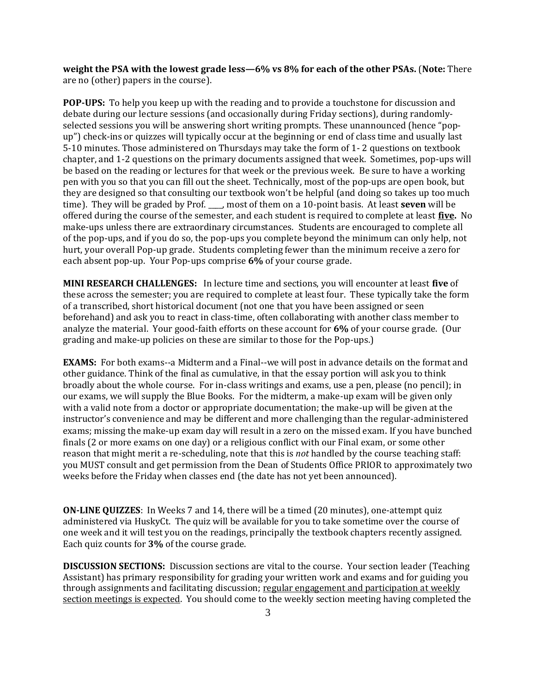**weight the PSA with the lowest grade less—6% vs 8% for each of the other PSAs.** (**Note:** There are no (other) papers in the course).

**POP-UPS:** To help you keep up with the reading and to provide a touchstone for discussion and debate during our lecture sessions (and occasionally during Friday sections), during randomlyselected sessions you will be answering short writing prompts. These unannounced (hence "popup") check-ins or quizzes will typically occur at the beginning or end of class time and usually last 5-10 minutes. Those administered on Thursdays may take the form of 1- 2 questions on textbook chapter, and 1-2 questions on the primary documents assigned that week. Sometimes, pop-ups will be based on the reading or lectures for that week or the previous week. Be sure to have a working pen with you so that you can fill out the sheet. Technically, most of the pop-ups are open book, but they are designed so that consulting our textbook won't be helpful (and doing so takes up too much time). They will be graded by Prof. \_\_\_\_, most of them on a 10-point basis. At least **seven** will be offered during the course of the semester, and each student is required to complete at least **five.** No make-ups unless there are extraordinary circumstances. Students are encouraged to complete all of the pop-ups, and if you do so, the pop-ups you complete beyond the minimum can only help, not hurt, your overall Pop-up grade. Students completing fewer than the minimum receive a zero for each absent pop-up. Your Pop-ups comprise **6%** of your course grade.

**MINI RESEARCH CHALLENGES:** In lecture time and sections, you will encounter at least **five** of these across the semester; you are required to complete at least four. These typically take the form of a transcribed, short historical document (not one that you have been assigned or seen beforehand) and ask you to react in class-time, often collaborating with another class member to analyze the material. Your good-faith efforts on these account for **6%** of your course grade. (Our grading and make-up policies on these are similar to those for the Pop-ups.)

**EXAMS:** For both exams--a Midterm and a Final--we will post in advance details on the format and other guidance. Think of the final as cumulative, in that the essay portion will ask you to think broadly about the whole course. For in-class writings and exams, use a pen, please (no pencil); in our exams, we will supply the Blue Books. For the midterm, a make-up exam will be given only with a valid note from a doctor or appropriate documentation; the make-up will be given at the instructor's convenience and may be different and more challenging than the regular-administered exams; missing the make-up exam day will result in a zero on the missed exam. If you have bunched finals (2 or more exams on one day) or a religious conflict with our Final exam, or some other reason that might merit a re-scheduling, note that this is *not* handled by the course teaching staff: you MUST consult and get permission from the Dean of Students Office PRIOR to approximately two weeks before the Friday when classes end (the date has not yet been announced).

**ON-LINE QUIZZES**: In Weeks 7 and 14, there will be a timed (20 minutes), one-attempt quiz administered via HuskyCt. The quiz will be available for you to take sometime over the course of one week and it will test you on the readings, principally the textbook chapters recently assigned. Each quiz counts for **3%** of the course grade.

**DISCUSSION SECTIONS:** Discussion sections are vital to the course. Your section leader (Teaching Assistant) has primary responsibility for grading your written work and exams and for guiding you through assignments and facilitating discussion; regular engagement and participation at weekly section meetings is expected. You should come to the weekly section meeting having completed the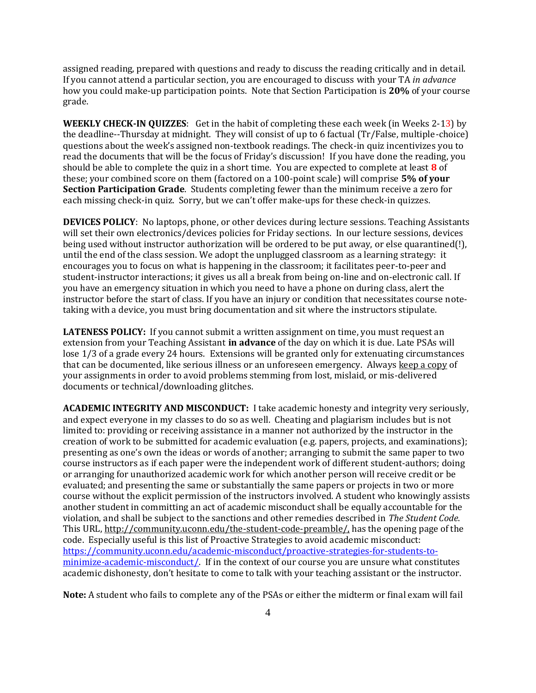assigned reading, prepared with questions and ready to discuss the reading critically and in detail. If you cannot attend a particular section, you are encouraged to discuss with your TA *in advance*  how you could make-up participation points. Note that Section Participation is **20%** of your course grade.

**WEEKLY CHECK-IN QUIZZES**: Get in the habit of completing these each week (in Weeks 2-13) by the deadline--Thursday at midnight. They will consist of up to 6 factual (Tr/False, multiple-choice) questions about the week's assigned non-textbook readings. The check-in quiz incentivizes you to read the documents that will be the focus of Friday's discussion! If you have done the reading, you should be able to complete the quiz in a short time. You are expected to complete at least **8** of these; your combined score on them (factored on a 100-point scale) will comprise **5% of your Section Participation Grade**. Students completing fewer than the minimum receive a zero for each missing check-in quiz. Sorry, but we can't offer make-ups for these check-in quizzes.

**DEVICES POLICY**: No laptops, phone, or other devices during lecture sessions. Teaching Assistants will set their own electronics/devices policies for Friday sections. In our lecture sessions, devices being used without instructor authorization will be ordered to be put away, or else quarantined(!), until the end of the class session. We adopt the unplugged classroom as a learning strategy: it encourages you to focus on what is happening in the classroom; it facilitates peer-to-peer and student-instructor interactions; it gives us all a break from being on-line and on-electronic call. If you have an emergency situation in which you need to have a phone on during class, alert the instructor before the start of class. If you have an injury or condition that necessitates course notetaking with a device, you must bring documentation and sit where the instructors stipulate.

**LATENESS POLICY:** If you cannot submit a written assignment on time, you must request an extension from your Teaching Assistant **in advance** of the day on which it is due. Late PSAs will lose 1/3 of a grade every 24 hours. Extensions will be granted only for extenuating circumstances that can be documented, like serious illness or an unforeseen emergency. Always keep a copy of your assignments in order to avoid problems stemming from lost, mislaid, or mis-delivered documents or technical/downloading glitches.

**ACADEMIC INTEGRITY AND MISCONDUCT:** I take academic honesty and integrity very seriously, and expect everyone in my classes to do so as well. Cheating and plagiarism includes but is not limited to: providing or receiving assistance in a manner not authorized by the instructor in the creation of work to be submitted for academic evaluation (e.g. papers, projects, and examinations); presenting as one's own the ideas or words of another; arranging to submit the same paper to two course instructors as if each paper were the independent work of different student-authors; doing or arranging for unauthorized academic work for which another person will receive credit or be evaluated; and presenting the same or substantially the same papers or projects in two or more course without the explicit permission of the instructors involved. A student who knowingly assists another student in committing an act of academic misconduct shall be equally accountable for the violation, and shall be subject to the sanctions and other remedies described in *The Student Code*. This URL, [http://community.uconn.edu/the-student-code-preamble/,](http://community.uconn.edu/the-student-code-preamble/) has the opening page of the code. Especially useful is this list of Proactive Strategies to avoid academic misconduct: [https://community.uconn.edu/academic-misconduct/proactive-strategies-for-students-to](https://community.uconn.edu/academic-misconduct/proactive-strategies-for-students-to-minimize-academic-misconduct/)[minimize-academic-misconduct/.](https://community.uconn.edu/academic-misconduct/proactive-strategies-for-students-to-minimize-academic-misconduct/) If in the context of our course you are unsure what constitutes academic dishonesty, don't hesitate to come to talk with your teaching assistant or the instructor.

**Note:** A student who fails to complete any of the PSAs or either the midterm or final exam will fail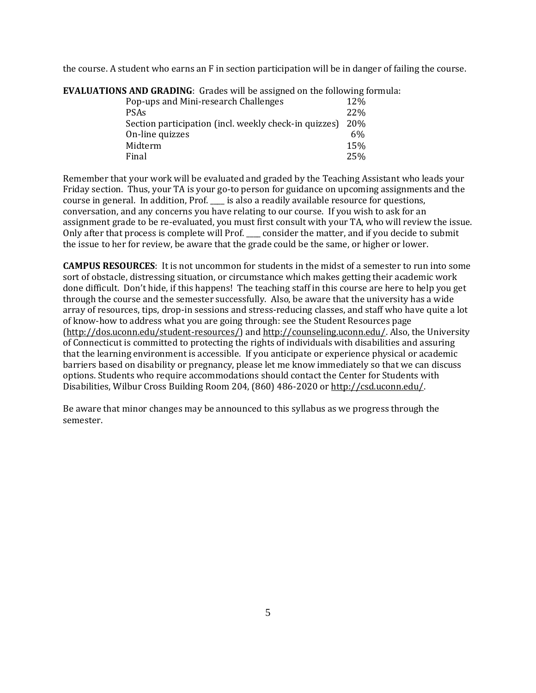the course. A student who earns an F in section participation will be in danger of failing the course.

| <b>NS AND UNADING.</b> General will be assigned on the following. |                 |
|-------------------------------------------------------------------|-----------------|
| Pop-ups and Mini-research Challenges                              | 12\%            |
| <b>PSAs</b>                                                       | 22\%            |
| Section participation (incl. weekly check-in quizzes)             | <b>20%</b>      |
| On-line quizzes                                                   | 6%              |
| Midterm                                                           | 15 <sub>%</sub> |
| Final                                                             | 25%             |

**EVALUATIONS AND GRADING**: Grades will be assigned on the following formula:

Remember that your work will be evaluated and graded by the Teaching Assistant who leads your Friday section. Thus, your TA is your go-to person for guidance on upcoming assignments and the course in general. In addition, Prof. \_\_\_\_ is also a readily available resource for questions, conversation, and any concerns you have relating to our course. If you wish to ask for an assignment grade to be re-evaluated, you must first consult with your TA, who will review the issue. Only after that process is complete will Prof. \_\_\_\_ consider the matter, and if you decide to submit the issue to her for review, be aware that the grade could be the same, or higher or lower.

**CAMPUS RESOURCES**: It is not uncommon for students in the midst of a semester to run into some sort of obstacle, distressing situation, or circumstance which makes getting their academic work done difficult. Don't hide, if this happens! The teaching staff in this course are here to help you get through the course and the semester successfully. Also, be aware that the university has a wide array of resources, tips, drop-in sessions and stress-reducing classes, and staff who have quite a lot of know-how to address what you are going through: see the Student Resources page [\(http://dos.uconn.edu/student-resources/\)](http://dos.uconn.edu/student-resources/) and [http://counseling.uconn.edu/.](http://counseling.uconn.edu/) Also, the University of Connecticut is committed to protecting the rights of individuals with disabilities and assuring that the learning environment is accessible. If you anticipate or experience physical or academic barriers based on disability or pregnancy, please let me know immediately so that we can discuss options. Students who require accommodations should contact the Center for Students with Disabilities, Wilbur Cross Building Room 204, (860) 486-2020 or [http://csd.uconn.edu/.](http://csd.uconn.edu/)

Be aware that minor changes may be announced to this syllabus as we progress through the semester.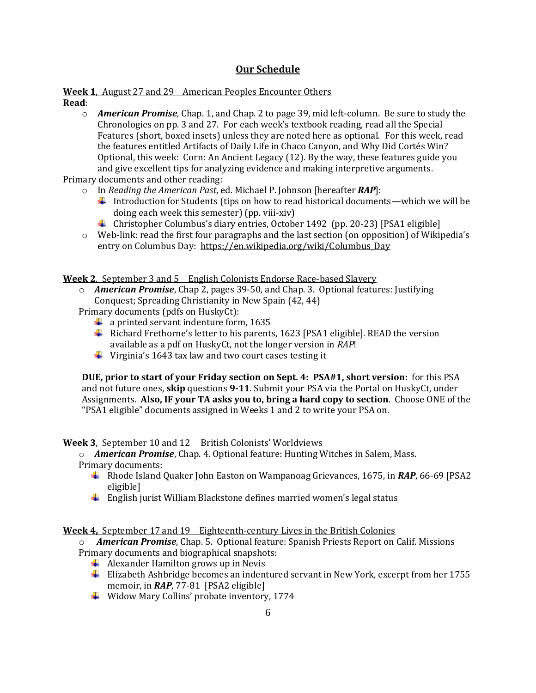# **Our Schedule**

#### **Week 1**, August 27 and 29 American Peoples Encounter Others **Read**:

o *American Promise,* Chap. 1, and Chap. 2 to page 39, mid left-column. Be sure to study the Chronologies on pp. 3 and 27. For each week's textbook reading, read all the Special Features (short, boxed insets) unless they are noted here as optional. For this week, read the features entitled Artifacts of Daily Life in Chaco Canyon, and Why Did Cortés Win? Optional, this week: Corn: An Ancient Legacy (12). By the way, these features guide you and give excellent tips for analyzing evidence and making interpretive arguments.

Primary documents and other reading:

- o In *Reading the American Past*, ed. Michael P. Johnson [hereafter *RAP*]:
	- Introduction for Students (tips on how to read historical documents—which we will be doing each week this semester) (pp. viii-xiv)
	- Christopher Columbus's diary entries, October 1492 (pp. 20-23) [PSA1 eligible]
- $\circ$  Web-link: read the first four paragraphs and the last section (on opposition) of Wikipedia's entry on Columbus Day: [https://en.wikipedia.org/wiki/Columbus\\_Day](https://en.wikipedia.org/wiki/Columbus_Day)

**Week 2**, September 3 and 5 English Colonists Endorse Race-based Slavery

- o *American Promise*, Chap 2, pages 39-50, and Chap. 3. Optional features: Justifying Conquest; Spreading Christianity in New Spain (42, 44)
- Primary documents (pdfs on HuskyCt):
	- $\ddot{\bullet}$  a printed servant indenture form, 1635
	- $\ddot{+}$  Richard Frethorne's letter to his parents, 1623 [PSA1 eligible]. READ the version available as a pdf on HuskyCt, not the longer version in *RAP*!
	- $\ddot{\phantom{1}}$  Virginia's 1643 tax law and two court cases testing it

**DUE, prior to start of your Friday section on Sept. 4: PSA#1, short version:** for this PSA and not future ones, **skip** questions **9-11**. Submit your PSA via the Portal on HuskyCt, under Assignments. **Also, IF your TA asks you to, bring a hard copy to section**. Choose ONE of the "PSA1 eligible" documents assigned in Weeks 1 and 2 to write your PSA on.

**Week 3**, September 10 and 12 British Colonists' Worldviews

o *American Promise*, Chap. 4. Optional feature: Hunting Witches in Salem, Mass. Primary documents:

- Rhode Island Quaker John Easton on Wampanoag Grievances, 1675, in *RAP*, 66-69 [PSA2 eligible]
- $\ddot{\phantom{1}}$  English jurist William Blackstone defines married women's legal status

# **Week 4,** September 17 and 19 Eighteenth-century Lives in the British Colonies

- o *American Promise*, Chap. 5. Optional feature: Spanish Priests Report on Calif. Missions Primary documents and biographical snapshots:
	- $\overline{\mathbf{A}}$  Alexander Hamilton grows up in Nevis
	- **Elizabeth Ashbridge becomes an indentured servant in New York, excerpt from her 1755** memoir, in *RAP*, 77-81 [PSA2 eligible]
	- Widow Mary Collins' probate inventory, 1774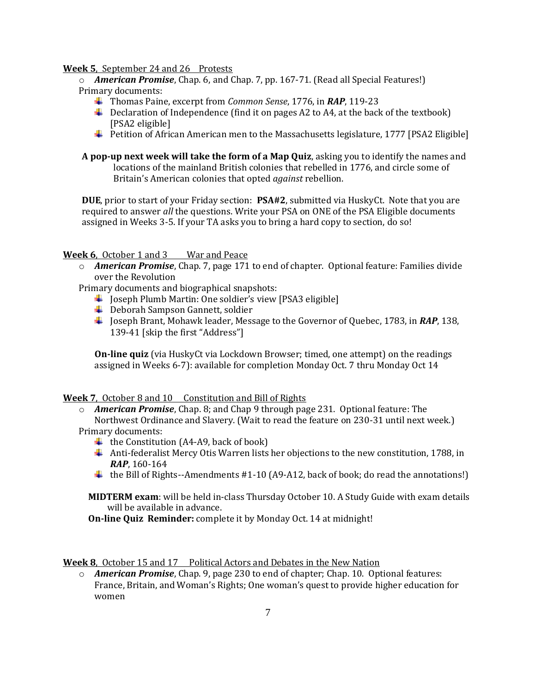### **Week 5**, September 24 and 26 Protests

o *American Promise*, Chap. 6, and Chap. 7, pp. 167-71. (Read all Special Features!) Primary documents:

- Thomas Paine, excerpt from *Common Sense*, 1776, in *RAP*, 119-23
- **L** Declaration of Independence (find it on pages A2 to A4, at the back of the textbook) [PSA2 eligible]
- Petition of African American men to the Massachusetts legislature, 1777 [PSA2 Eligible]
- **A pop-up next week will take the form of a Map Quiz**, asking you to identify the names and locations of the mainland British colonies that rebelled in 1776, and circle some of Britain's American colonies that opted *against* rebellion.

**DUE**, prior to start of your Friday section: **PSA#2**, submitted via HuskyCt. Note that you are required to answer *all* the questions. Write your PSA on ONE of the PSA Eligible documents assigned in Weeks 3-5. If your TA asks you to bring a hard copy to section, do so!

### **Week 6**, October 1 and 3 War and Peace

- o *American Promise*, Chap. 7, page 171 to end of chapter. Optional feature: Families divide over the Revolution
- Primary documents and biographical snapshots:
	- $\downarrow$  Joseph Plumb Martin: One soldier's view [PSA3 eligible]
	- **↓** Deborah Sampson Gannett, soldier
	- Joseph Brant, Mohawk leader, Message to the Governor of Quebec, 1783, in *RAP*, 138, 139-41 [skip the first "Address"]

**On-line quiz** (via HuskyCt via Lockdown Browser; timed, one attempt) on the readings assigned in Weeks 6-7): available for completion Monday Oct. 7 thru Monday Oct 14

### **Week 7**, October 8 and 10 Constitution and Bill of Rights

- o *American Promise*, Chap. 8; and Chap 9 through page 231. Optional feature: The Northwest Ordinance and Slavery. (Wait to read the feature on 230-31 until next week.) Primary documents:
	- $\downarrow$  the Constitution (A4-A9, back of book)
	- Anti-federalist Mercy Otis Warren lists her objections to the new constitution, 1788, in *RAP*, 160-164
	- $\ddot{ }$  the Bill of Rights--Amendments #1-10 (A9-A12, back of book; do read the annotations!)

**MIDTERM exam**: will be held in-class Thursday October 10. A Study Guide with exam details will be available in advance.

**On-line Quiz Reminder:** complete it by Monday Oct. 14 at midnight!

**Week 8**, October 15 and 17 Political Actors and Debates in the New Nation

o *American Promise*, Chap. 9, page 230 to end of chapter; Chap. 10. Optional features: France, Britain, and Woman's Rights; One woman's quest to provide higher education for women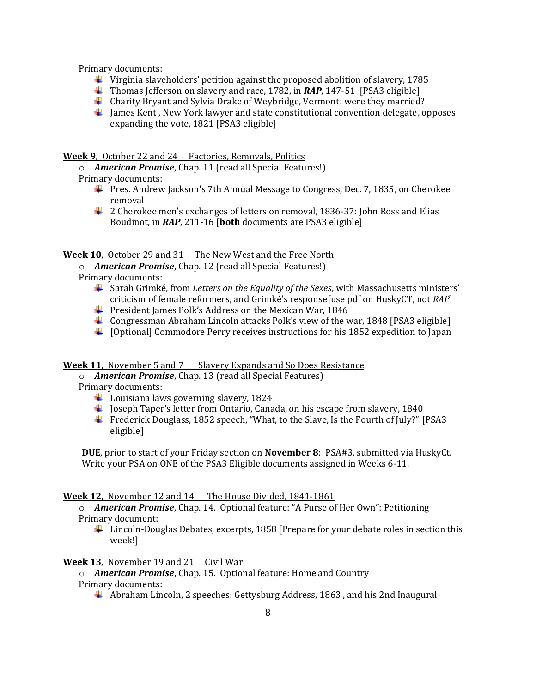Primary documents:

- $\ddot{\phantom{1}}$  Virginia slaveholders' petition against the proposed abolition of slavery, 1785
- Thomas Jefferson on slavery and race, 1782, in *RAP*, 147-51 [PSA3 eligible]
- Charity Bryant and Sylvia Drake of Weybridge, Vermont: were they married?
- $\ddot{\phantom{1}}$  James Kent , New York lawyer and state constitutional convention delegate, opposes expanding the vote, 1821 [PSA3 eligible]

**Week 9**, October 22 and 24 Factories, Removals, Politics

- o *American Promise*, Chap. 11 (read all Special Features!)
- Primary documents:
	- Pres. Andrew Jackson's 7th Annual Message to Congress, Dec. 7, 1835, on Cherokee removal
	- $\ddot{\bullet}$  2 Cherokee men's exchanges of letters on removal, 1836-37: John Ross and Elias Boudinot, in *RAP*, 211-16 [**both** documents are PSA3 eligible]

# **Week 10**, October 29 and 31 The New West and the Free North

o *American Promise*, Chap. 12 (read all Special Features!)

Primary documents:

- Sarah Grimké, from *Letters on the Equality of the Sexes*, with Massachusetts ministers' criticism of female reformers, and Grimké's response[use pdf on HuskyCT, not *RAP*]
- **President James Polk's Address on the Mexican War, 1846**
- **Congressman Abraham Lincoln attacks Polk's view of the war, 1848 [PSA3 eligible]**
- $\ddot{\ }$  [Optional] Commodore Perry receives instructions for his 1852 expedition to Japan

# **Week 11**, November 5 and 7 Slavery Expands and So Does Resistance

o *American Promise*, Chap. 13 (read all Special Features)

Primary documents:

- $\ddot{\bullet}$  Louisiana laws governing slavery, 1824
- $\ddagger$  Joseph Taper's letter from Ontario, Canada, on his escape from slavery, 1840
- Frederick Douglass, 1852 speech, "What, to the Slave, Is the Fourth of July?" [PSA3 eligible]

**DUE**, prior to start of your Friday section on **November 8**: PSA#3, submitted via HuskyCt. Write your PSA on ONE of the PSA3 Eligible documents assigned in Weeks 6-11.

# **Week 12**, November 12 and 14 The House Divided, 1841-1861

o *American Promise*, Chap. 14. Optional feature: "A Purse of Her Own": Petitioning Primary document:

 $\ddot{\phantom{1}}$  Lincoln-Douglas Debates, excerpts, 1858 [Prepare for your debate roles in section this week!]

# **Week 13**, November 19 and 21 Civil War

o *American Promise*, Chap. 15. Optional feature: Home and Country Primary documents:

Abraham Lincoln, 2 speeches: Gettysburg Address, 1863 , and his 2nd Inaugural